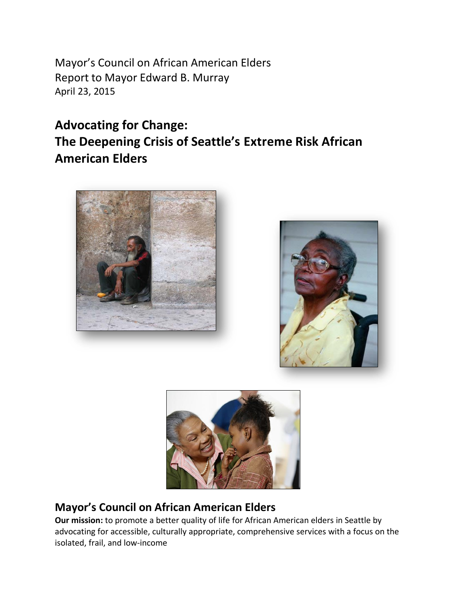Mayor's Council on African American Elders Report to Mayor Edward B. Murray April 23, 2015

# **Advocating for Change: The Deepening Crisis of Seattle's Extreme Risk African American Elders**







## **Mayor's Council on African American Elders**

**Our mission:** to promote a better quality of life for African American elders in Seattle by advocating for accessible, culturally appropriate, comprehensive services with a focus on the isolated, frail, and low-income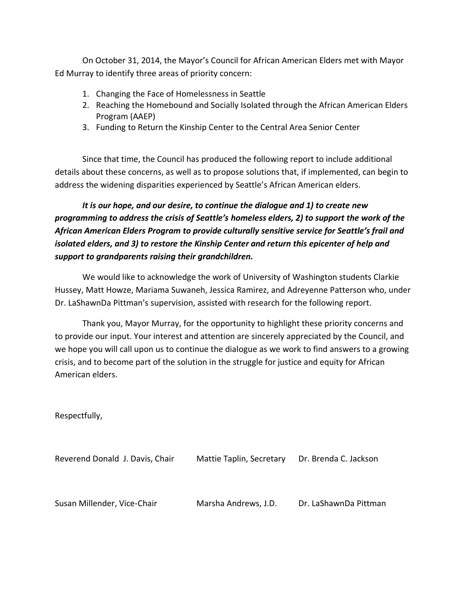On October 31, 2014, the Mayor's Council for African American Elders met with Mayor Ed Murray to identify three areas of priority concern:

- 1. Changing the Face of Homelessness in Seattle
- 2. Reaching the Homebound and Socially Isolated through the African American Elders Program (AAEP)
- 3. Funding to Return the Kinship Center to the Central Area Senior Center

Since that time, the Council has produced the following report to include additional details about these concerns, as well as to propose solutions that, if implemented, can begin to address the widening disparities experienced by Seattle's African American elders.

*It is our hope, and our desire, to continue the dialogue and 1) to create new programming to address the crisis of Seattle's homeless elders, 2) to support the work of the African American Elders Program to provide culturally sensitive service for Seattle's frail and isolated elders, and 3) to restore the Kinship Center and return this epicenter of help and support to grandparents raising their grandchildren.* 

We would like to acknowledge the work of University of Washington students Clarkie Hussey, Matt Howze, Mariama Suwaneh, Jessica Ramirez, and Adreyenne Patterson who, under Dr. LaShawnDa Pittman's supervision, assisted with research for the following report.

Thank you, Mayor Murray, for the opportunity to highlight these priority concerns and to provide our input. Your interest and attention are sincerely appreciated by the Council, and we hope you will call upon us to continue the dialogue as we work to find answers to a growing crisis, and to become part of the solution in the struggle for justice and equity for African American elders.

Respectfully,

| Reverend Donald J. Davis, Chair | Mattie Taplin, Secretary | Dr. Brenda C. Jackson |
|---------------------------------|--------------------------|-----------------------|
|                                 |                          |                       |
| Susan Millender, Vice-Chair     | Marsha Andrews, J.D.     | Dr. LaShawnDa Pittman |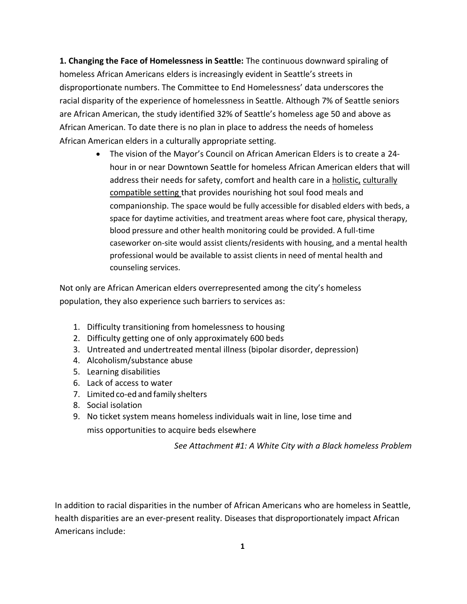**1. Changing the Face of Homelessness in Seattle:** The continuous downward spiraling of homeless African Americans elders is increasingly evident in Seattle's streets in disproportionate numbers. The Committee to End Homelessness' data underscores the racial disparity of the experience of homelessness in Seattle. Although 7% of Seattle seniors are African American, the study identified 32% of Seattle's homeless age 50 and above as African American. To date there is no plan in place to address the needs of homeless African American elders in a culturally appropriate setting.

> The vision of the Mayor's Council on African American Elders is to create a 24 hour in or near Downtown Seattle for homeless African American elders that will address their needs for safety, comfort and health care in a holistic, culturally compatible setting that provides nourishing hot soul food meals and companionship. The space would be fully accessible for disabled elders with beds, a space for daytime activities, and treatment areas where foot care, physical therapy, blood pressure and other health monitoring could be provided. A full-time caseworker on-site would assist clients/residents with housing, and a mental health professional would be available to assist clients in need of mental health and counseling services.

Not only are African American elders overrepresented among the city's homeless population, they also experience such barriers to services as:

- 1. Difficulty transitioning from homelessness to housing
- 2. Difficulty getting one of only approximately 600 beds
- 3. Untreated and undertreated mental illness (bipolar disorder, depression)
- 4. Alcoholism/substance abuse
- 5. Learning disabilities
- 6. Lack of access to water
- 7. Limited co-ed and family shelters
- 8. Social isolation
- 9. No ticket system means homeless individuals wait in line, lose time and miss opportunities to acquire beds elsewhere

*See Attachment #1: A White City with a Black homeless Problem*

In addition to racial disparities in the number of African Americans who are homeless in Seattle, health disparities are an ever-present reality. Diseases that disproportionately impact African Americans include: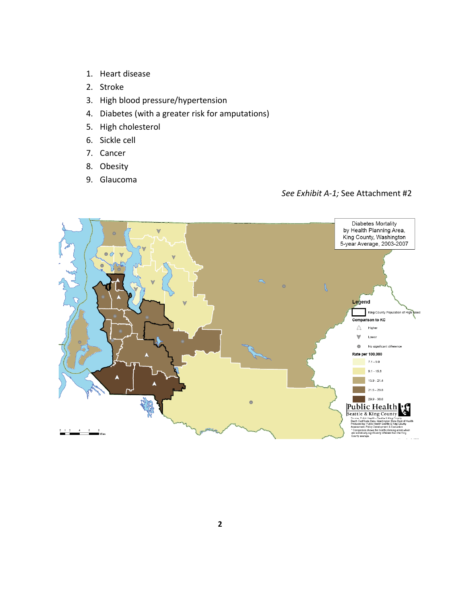- 1. Heart disease
- 2. Stroke
- 3. High blood pressure/hypertension
- 4. Diabetes (with a greater risk for amputations)
- 5. High cholesterol
- 6. Sickle cell
- 7. Cancer
- 8. Obesity
- 9. Glaucoma

*See Exhibit A-1;* See Attachment #2

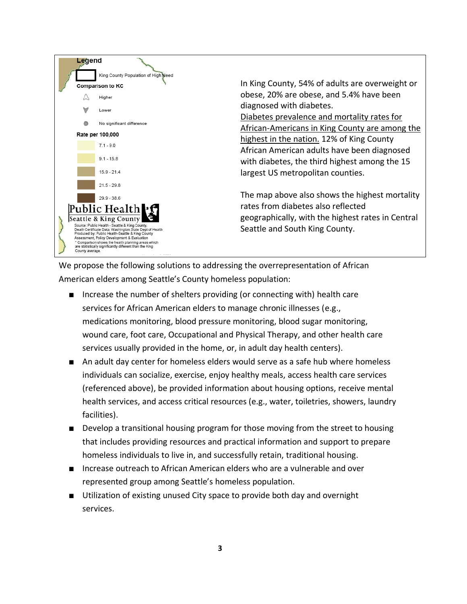

We propose the following solutions to addressing the overrepresentation of African American elders among Seattle's County homeless population:

- Increase the number of shelters providing (or connecting with) health care services for African American elders to manage chronic illnesses (e.g., medications monitoring, blood pressure monitoring, blood sugar monitoring, wound care, foot care, Occupational and Physical Therapy, and other health care services usually provided in the home, or, in adult day health centers).
- An adult day center for homeless elders would serve as a safe hub where homeless individuals can socialize, exercise, enjoy healthy meals, access health care services (referenced above), be provided information about housing options, receive mental health services, and access critical resources (e.g., water, toiletries, showers, laundry facilities).
- Develop a transitional housing program for those moving from the street to housing that includes providing resources and practical information and support to prepare homeless individuals to live in, and successfully retain, traditional housing.
- Increase outreach to African American elders who are a vulnerable and over represented group among Seattle's homeless population.
- Utilization of existing unused City space to provide both day and overnight services.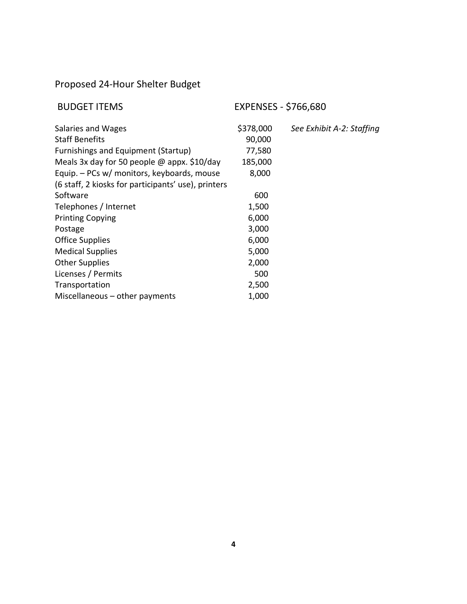## Proposed 24-Hour Shelter Budget

| <b>BUDGET ITEMS</b>                                 | <b>EXPENSES - \$766,680</b> |                           |
|-----------------------------------------------------|-----------------------------|---------------------------|
| Salaries and Wages                                  | \$378,000                   | See Exhibit A-2: Staffing |
| <b>Staff Benefits</b>                               | 90,000                      |                           |
| Furnishings and Equipment (Startup)                 | 77,580                      |                           |
| Meals 3x day for 50 people $\omega$ appx. \$10/day  | 185,000                     |                           |
| Equip. - PCs w/ monitors, keyboards, mouse          | 8,000                       |                           |
| (6 staff, 2 kiosks for participants' use), printers |                             |                           |
| Software                                            | 600                         |                           |
| Telephones / Internet                               | 1,500                       |                           |
| <b>Printing Copying</b>                             | 6,000                       |                           |
| Postage                                             | 3,000                       |                           |
| <b>Office Supplies</b>                              | 6,000                       |                           |
| <b>Medical Supplies</b>                             | 5,000                       |                           |
| <b>Other Supplies</b>                               | 2,000                       |                           |
| Licenses / Permits                                  | 500                         |                           |
| Transportation                                      | 2,500                       |                           |
| Miscellaneous $-$ other payments                    | 1,000                       |                           |
|                                                     |                             |                           |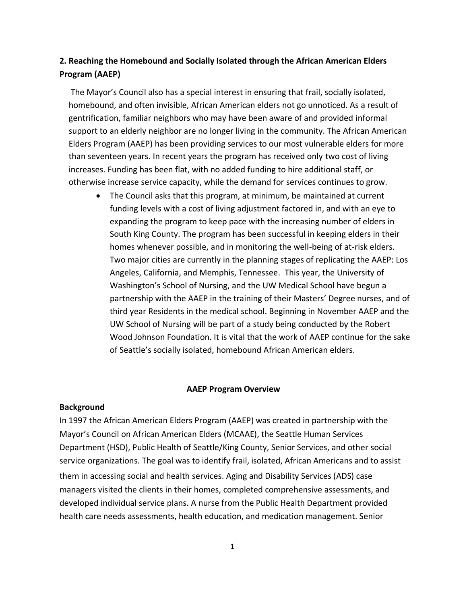### **2. Reaching the Homebound and Socially Isolated through the African American Elders Program (AAEP)**

The Mayor's Council also has a special interest in ensuring that frail, socially isolated, homebound, and often invisible, African American elders not go unnoticed. As a result of gentrification, familiar neighbors who may have been aware of and provided informal support to an elderly neighbor are no longer living in the community. The African American Elders Program (AAEP) has been providing services to our most vulnerable elders for more than seventeen years. In recent years the program has received only two cost of living increases. Funding has been flat, with no added funding to hire additional staff, or otherwise increase service capacity, while the demand for services continues to grow.

 The Council asks that this program, at minimum, be maintained at current funding levels with a cost of living adjustment factored in, and with an eye to expanding the program to keep pace with the increasing number of elders in South King County. The program has been successful in keeping elders in their homes whenever possible, and in monitoring the well-being of at-risk elders. Two major cities are currently in the planning stages of replicating the AAEP: Los Angeles, California, and Memphis, Tennessee. This year, the University of Washington's School of Nursing, and the UW Medical School have begun a partnership with the AAEP in the training of their Masters' Degree nurses, and of third year Residents in the medical school. Beginning in November AAEP and the UW School of Nursing will be part of a study being conducted by the Robert Wood Johnson Foundation. It is vital that the work of AAEP continue for the sake of Seattle's socially isolated, homebound African American elders.

#### **AAEP Program Overview**

#### **Background**

In 1997 the African American Elders Program (AAEP) was created in partnership with the Mayor's Council on African American Elders (MCAAE), the Seattle Human Services Department (HSD), Public Health of Seattle/King County, Senior Services, and other social service organizations. The goal was to identify frail, isolated, African Americans and to assist them in accessing social and health services. Aging and Disability Services (ADS) case managers visited the clients in their homes, completed comprehensive assessments, and developed individual service plans. A nurse from the Public Health Department provided health care needs assessments, health education, and medication management. Senior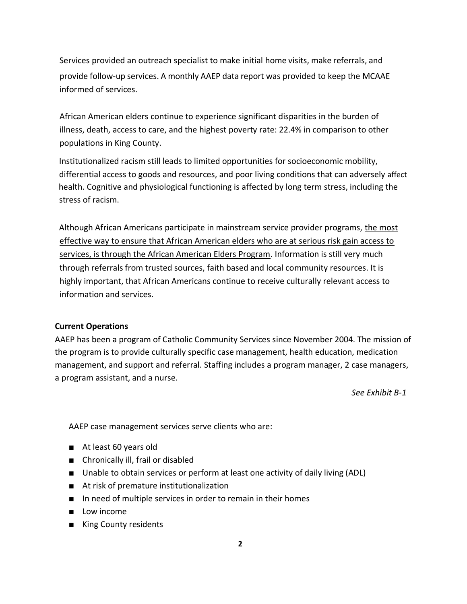Services provided an outreach specialist to make initial home visits, make referrals, and provide follow-up services. A monthly AAEP data report was provided to keep the MCAAE informed of services.

African American elders continue to experience significant disparities in the burden of illness, death, access to care, and the highest poverty rate: 22.4% in comparison to other populations in King County.

 Institutionalized racism still leads to limited opportunities for socioeconomic mobility, differential access to goods and resources, and poor living conditions that can adversely affect health. Cognitive and physiological functioning is affected by long term stress, including the stress of racism.

Although African Americans participate in mainstream service provider programs, the most effective way to ensure that African American elders who are at serious risk gain access to services, is through the African American Elders Program. Information is still very much through referrals from trusted sources, faith based and local community resources. It is highly important, that African Americans continue to receive culturally relevant access to information and services.

#### **Current Operations**

AAEP has been a program of Catholic Community Services since November 2004. The mission of the program is to provide culturally specific case management, health education, medication management, and support and referral. Staffing includes a program manager, 2 case managers, a program assistant, and a nurse.

*See Exhibit B-1*

AAEP case management services serve clients who are:

- At least 60 years old
- Chronically ill, frail or disabled
- Unable to obtain services or perform at least one activity of daily living (ADL)
- At risk of premature institutionalization
- In need of multiple services in order to remain in their homes
- Low income
- King County residents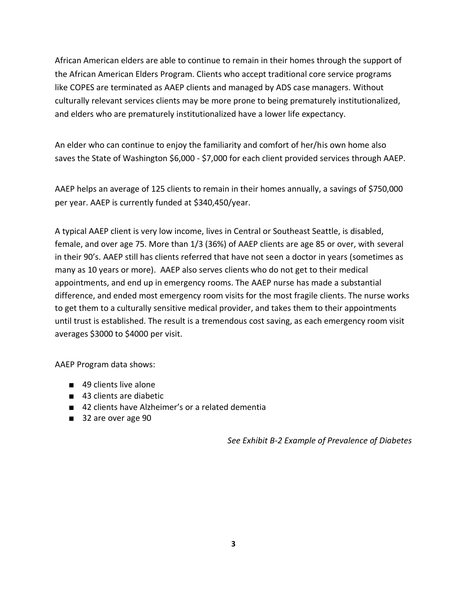African American elders are able to continue to remain in their homes through the support of the African American Elders Program. Clients who accept traditional core service programs like COPES are terminated as AAEP clients and managed by ADS case managers. Without culturally relevant services clients may be more prone to being prematurely institutionalized, and elders who are prematurely institutionalized have a lower life expectancy.

An elder who can continue to enjoy the familiarity and comfort of her/his own home also saves the State of Washington \$6,000 - \$7,000 for each client provided services through AAEP.

AAEP helps an average of 125 clients to remain in their homes annually, a savings of \$750,000 per year. AAEP is currently funded at \$340,450/year.

A typical AAEP client is very low income, lives in Central or Southeast Seattle, is disabled, female, and over age 75. More than 1/3 (36%) of AAEP clients are age 85 or over, with several in their 90's. AAEP still has clients referred that have not seen a doctor in years (sometimes as many as 10 years or more). AAEP also serves clients who do not get to their medical appointments, and end up in emergency rooms. The AAEP nurse has made a substantial difference, and ended most emergency room visits for the most fragile clients. The nurse works to get them to a culturally sensitive medical provider, and takes them to their appointments until trust is established. The result is a tremendous cost saving, as each emergency room visit averages \$3000 to \$4000 per visit.

AAEP Program data shows:

- 49 clients live alone
- 43 clients are diabetic
- 42 clients have Alzheimer's or a related dementia
- 32 are over age 90

*See Exhibit B-2 Example of Prevalence of Diabetes*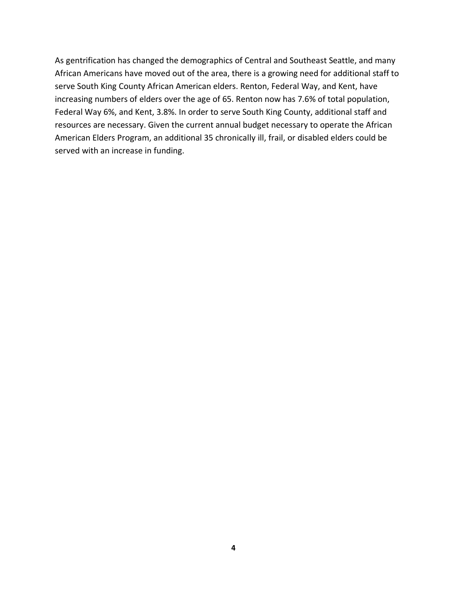As gentrification has changed the demographics of Central and Southeast Seattle, and many African Americans have moved out of the area, there is a growing need for additional staff to serve South King County African American elders. Renton, Federal Way, and Kent, have increasing numbers of elders over the age of 65. Renton now has 7.6% of total population, Federal Way 6%, and Kent, 3.8%. In order to serve South King County, additional staff and resources are necessary. Given the current annual budget necessary to operate the African American Elders Program, an additional 35 chronically ill, frail, or disabled elders could be served with an increase in funding.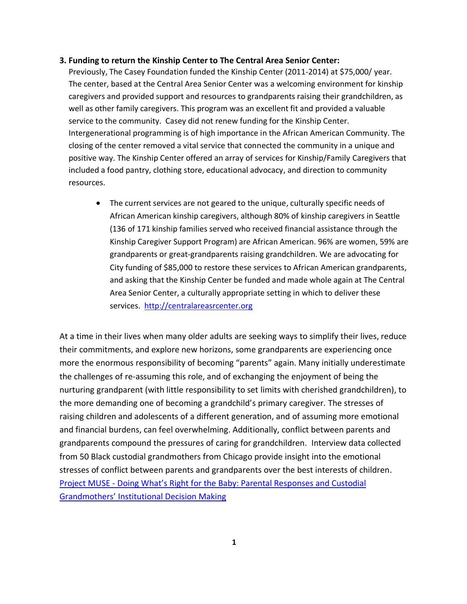#### **3. Funding to return the Kinship Center to The Central Area Senior Center:**

Previously, The Casey Foundation funded the Kinship Center (2011-2014) at \$75,000/ year. The center, based at the Central Area Senior Center was a welcoming environment for kinship caregivers and provided support and resources to grandparents raising their grandchildren, as well as other family caregivers. This program was an excellent fit and provided a valuable service to the community. Casey did not renew funding for the Kinship Center. Intergenerational programming is of high importance in the African American Community. The closing of the center removed a vital service that connected the community in a unique and positive way. The Kinship Center offered an array of services for Kinship/Family Caregivers that included a food pantry, clothing store, educational advocacy, and direction to community resources.

 The current services are not geared to the unique, culturally specific needs of African American kinship caregivers, although 80% of kinship caregivers in Seattle (136 of 171 kinship families served who received financial assistance through the Kinship Caregiver Support Program) are African American. 96% are women, 59% are grandparents or great-grandparents raising grandchildren. We are advocating for City funding of \$85,000 to restore these services to African American grandparents, and asking that the Kinship Center be funded and made whole again at The Central Area Senior Center, a culturally appropriate setting in which to deliver these services. [http://centralareasrcenter.org](http://centralareasrcenter.org/)

At a time in their lives when many older adults are seeking ways to simplify their lives, reduce their commitments, and explore new horizons, some grandparents are experiencing once more the enormous responsibility of becoming "parents" again. Many initially underestimate the challenges of re-assuming this role, and of exchanging the enjoyment of being the nurturing grandparent (with little responsibility to set limits with cherished grandchildren), to the more demanding one of becoming a grandchild's primary caregiver. The stresses of raising children and adolescents of a different generation, and of assuming more emotional and financial burdens, can feel overwhelming. Additionally, conflict between parents and grandparents compound the pressures of caring for grandchildren. Interview data collected from 50 Black custodial grandmothers from Chicago provide insight into the emotional stresses of conflict between parents and grandparents over the best interests of children. Project MUSE - [Doing What's Right for the Baby: Parental Resp](http://muse.jhu.edu/login?auth=0&type=summary&url=/journals/women_gender_and_families_of_color/v002/2.1.pittman.pdf)onses and Custodial [Grandmothers' Institutional Decision Making](http://muse.jhu.edu/login?auth=0&type=summary&url=/journals/women_gender_and_families_of_color/v002/2.1.pittman.pdf)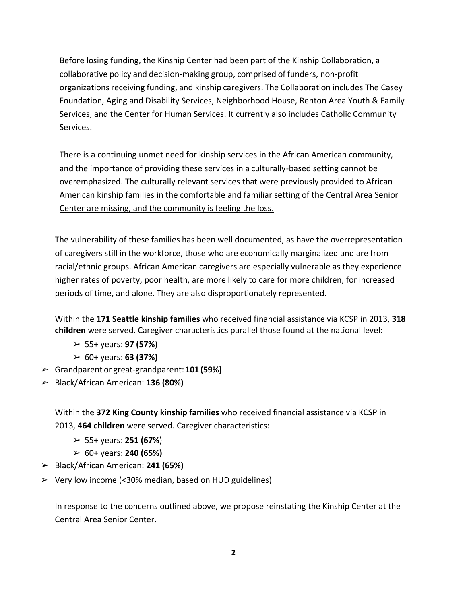Before losing funding, the Kinship Center had been part of the Kinship Collaboration, a collaborative policy and decision-making group, comprised of funders, non-profit organizations receiving funding, and kinship caregivers. The Collaboration includes The Casey Foundation, Aging and Disability Services, Neighborhood House, Renton Area Youth & Family Services, and the Center for Human Services. It currently also includes Catholic Community Services.

There is a continuing unmet need for kinship services in the African American community, and the importance of providing these services in a culturally-based setting cannot be overemphasized. The culturally relevant services that were previously provided to African American kinship families in the comfortable and familiar setting of the Central Area Senior Center are missing, and the community is feeling the loss.

The vulnerability of these families has been well documented, as have the overrepresentation of caregivers still in the workforce, those who are economically marginalized and are from racial/ethnic groups. African American caregivers are especially vulnerable as they experience higher rates of poverty, poor health, are more likely to care for more children, for increased periods of time, and alone. They are also disproportionately represented.

Within the **171 Seattle kinship families** who received financial assistance via KCSP in 2013, **318 children** were served. Caregiver characteristics parallel those found at the national level:

- ➢ 55+ years: **97 (57%**)
- ➢ 60+ years: **63 (37%)**
- ➢ Grandparent or great-grandparent: **101 (59%)**
- ➢ Black/African American: **136 (80%)**

Within the **372 King County kinship families** who received financial assistance via KCSP in 2013, **464 children** were served. Caregiver characteristics:

- ➢ 55+ years: **251 (67%**)
- ➢ 60+ years: **240 (65%)**
- ➢ Black/African American: **241 (65%)**
- ➢ Very low income (<30% median, based on HUD guidelines)

In response to the concerns outlined above, we propose reinstating the Kinship Center at the Central Area Senior Center.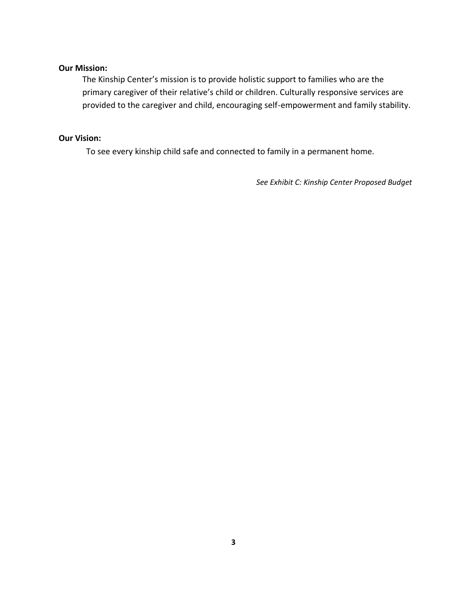#### **Our Mission:**

The Kinship Center's mission is to provide holistic support to families who are the primary caregiver of their relative's child or children. Culturally responsive services are provided to the caregiver and child, encouraging self-empowerment and family stability.

#### **Our Vision:**

To see every kinship child safe and connected to family in a permanent home.

*See Exhibit C: Kinship Center Proposed Budget*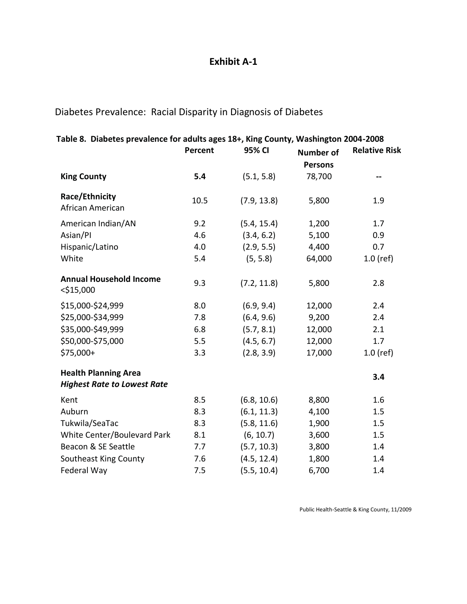### **Exhibit A-1**

Diabetes Prevalence: Racial Disparity in Diagnosis of Diabetes

| Table 8. Diabetes prevalence for adults ages 18+, King County, Washington 2004-2008 |         |             |                  |                      |
|-------------------------------------------------------------------------------------|---------|-------------|------------------|----------------------|
|                                                                                     | Percent | 95% CI      | <b>Number of</b> | <b>Relative Risk</b> |
|                                                                                     |         |             | <b>Persons</b>   |                      |
| <b>King County</b>                                                                  | 5.4     | (5.1, 5.8)  | 78,700           |                      |
| Race/Ethnicity<br>African American                                                  | 10.5    | (7.9, 13.8) | 5,800            | 1.9                  |
| American Indian/AN                                                                  | 9.2     | (5.4, 15.4) | 1,200            | 1.7                  |
| Asian/Pl                                                                            | 4.6     | (3.4, 6.2)  | 5,100            | 0.9                  |
| Hispanic/Latino                                                                     | 4.0     | (2.9, 5.5)  | 4,400            | 0.7                  |
| White                                                                               | 5.4     | (5, 5.8)    | 64,000           | $1.0$ (ref)          |
| <b>Annual Household Income</b><br>$<$ \$15,000                                      | 9.3     | (7.2, 11.8) | 5,800            | 2.8                  |
| \$15,000-\$24,999                                                                   | 8.0     | (6.9, 9.4)  | 12,000           | 2.4                  |
| \$25,000-\$34,999                                                                   | 7.8     | (6.4, 9.6)  | 9,200            | 2.4                  |
| \$35,000-\$49,999                                                                   | 6.8     | (5.7, 8.1)  | 12,000           | 2.1                  |
| \$50,000-\$75,000                                                                   | 5.5     | (4.5, 6.7)  | 12,000           | 1.7                  |
| \$75,000+                                                                           | 3.3     | (2.8, 3.9)  | 17,000           | $1.0$ (ref)          |
| <b>Health Planning Area</b><br><b>Highest Rate to Lowest Rate</b>                   |         |             |                  | 3.4                  |
| Kent                                                                                | 8.5     | (6.8, 10.6) | 8,800            | 1.6                  |
| Auburn                                                                              | 8.3     | (6.1, 11.3) | 4,100            | 1.5                  |
| Tukwila/SeaTac                                                                      | 8.3     | (5.8, 11.6) | 1,900            | 1.5                  |
| White Center/Boulevard Park                                                         | 8.1     | (6, 10.7)   | 3,600            | 1.5                  |
| Beacon & SE Seattle                                                                 | 7.7     | (5.7, 10.3) | 3,800            | 1.4                  |
| Southeast King County                                                               | 7.6     | (4.5, 12.4) | 1,800            | 1.4                  |
| Federal Way                                                                         | 7.5     | (5.5, 10.4) | 6,700            | 1.4                  |
|                                                                                     |         |             |                  |                      |

Public Health-Seattle & King County, 11/2009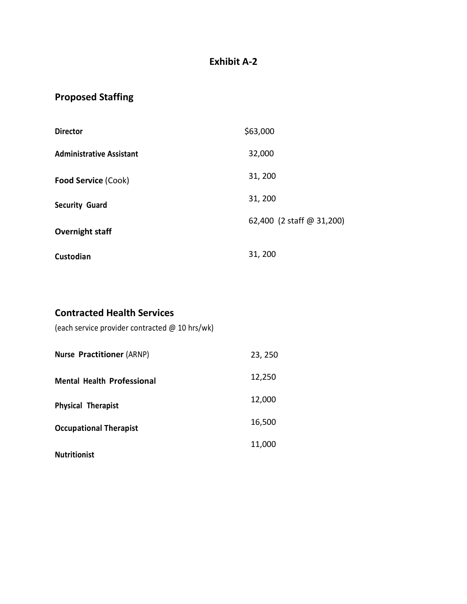### **Exhibit A-2**

## **Proposed Staffing**

| <b>Director</b>                 | \$63,000                  |
|---------------------------------|---------------------------|
| <b>Administrative Assistant</b> | 32,000                    |
| <b>Food Service (Cook)</b>      | 31, 200                   |
| <b>Security Guard</b>           | 31, 200                   |
| Overnight staff                 | 62,400 (2 staff @ 31,200) |
| Custodian                       | 31, 200                   |

### **Contracted Health Services**

(each service provider contracted @ 10 hrs/wk)

| <b>Nurse Practitioner (ARNP)</b>  | 23, 250 |
|-----------------------------------|---------|
| <b>Mental Health Professional</b> | 12,250  |
| <b>Physical Therapist</b>         | 12,000  |
| <b>Occupational Therapist</b>     | 16,500  |
| <b>Nutritionist</b>               | 11,000  |
|                                   |         |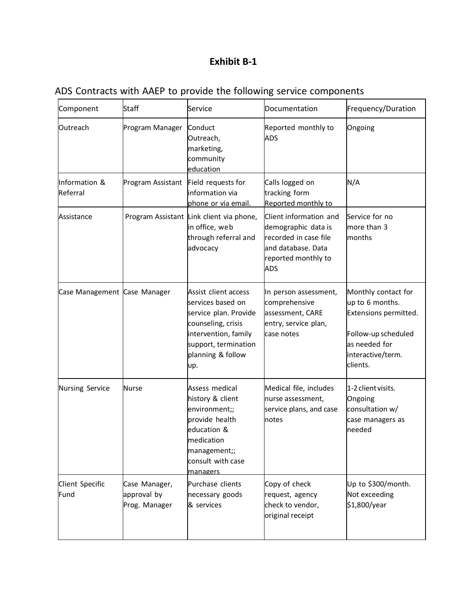## **Exhibit B-1**

|  |  |  |  |  |  |  |  |  | ADS Contracts with AAEP to provide the following service components |
|--|--|--|--|--|--|--|--|--|---------------------------------------------------------------------|
|--|--|--|--|--|--|--|--|--|---------------------------------------------------------------------|

| Component                    | <b>Staff</b>                                  | Service                                                                                                                                                              | Documentation                                                                                                              | Frequency/Duration                                                                                                                       |
|------------------------------|-----------------------------------------------|----------------------------------------------------------------------------------------------------------------------------------------------------------------------|----------------------------------------------------------------------------------------------------------------------------|------------------------------------------------------------------------------------------------------------------------------------------|
| Outreach                     | Program Manager                               | Conduct<br>Outreach,<br>marketing,<br>community<br>education                                                                                                         | Reported monthly to<br><b>ADS</b>                                                                                          | Ongoing                                                                                                                                  |
| Information &<br>Referral    | Program Assistant                             | Field requests for<br>information via<br>phone or via email.                                                                                                         | Calls logged on<br>tracking form<br>Reported monthly to                                                                    | N/A                                                                                                                                      |
| Assistance                   |                                               | Program Assistant Link client via phone,<br>in office, web<br>through referral and<br>advocacy                                                                       | Client information and<br>demographic data is<br>recorded in case file<br>and database. Data<br>reported monthly to<br>ADS | Service for no<br>more than 3<br>months                                                                                                  |
| Case Management Case Manager |                                               | Assist client access<br>services based on<br>service plan. Provide<br>counseling, crisis<br>intervention, family<br>support, termination<br>planning & follow<br>up. | In person assessment,<br>comprehensive<br>assessment, CARE<br>entry, service plan,<br>case notes                           | Monthly contact for<br>up to 6 months.<br>Extensions permitted.<br>Follow-up scheduled<br>as needed for<br>interactive/term.<br>clients. |
| Nursing Service              | <b>Nurse</b>                                  | Assess medical<br>history & client<br>environment;;<br>provide health<br>education &<br>medication<br>management;;<br>consult with case<br>managers                  | Medical file, includes<br>nurse assessment,<br>service plans, and case<br>notes                                            | 1-2 client visits.<br>Ongoing<br>consultation w/<br>case managers as<br>needed                                                           |
| Client Specific<br>Fund      | Case Manager,<br>approval by<br>Prog. Manager | Purchase clients<br>necessary goods<br>& services                                                                                                                    | Copy of check<br>request, agency<br>check to vendor,<br>original receipt                                                   | Up to \$300/month.<br>Not exceeding<br>\$1,800/year                                                                                      |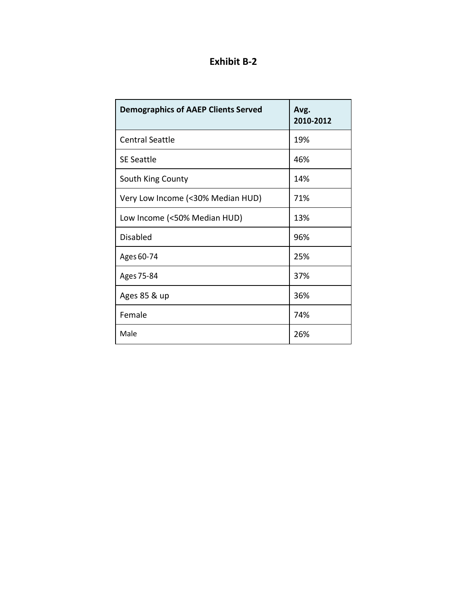## **Exhibit B-2**

| <b>Demographics of AAEP Clients Served</b> | Avg.<br>2010-2012 |
|--------------------------------------------|-------------------|
| <b>Central Seattle</b>                     | 19%               |
| <b>SE Seattle</b>                          | 46%               |
| South King County                          | 14%               |
| Very Low Income (<30% Median HUD)          | 71%               |
| Low Income (<50% Median HUD)               | 13%               |
| <b>Disabled</b>                            | 96%               |
| Ages 60-74                                 | 25%               |
| Ages 75-84                                 | 37%               |
| Ages 85 & up                               | 36%               |
| Female                                     | 74%               |
| Male                                       | 26%               |